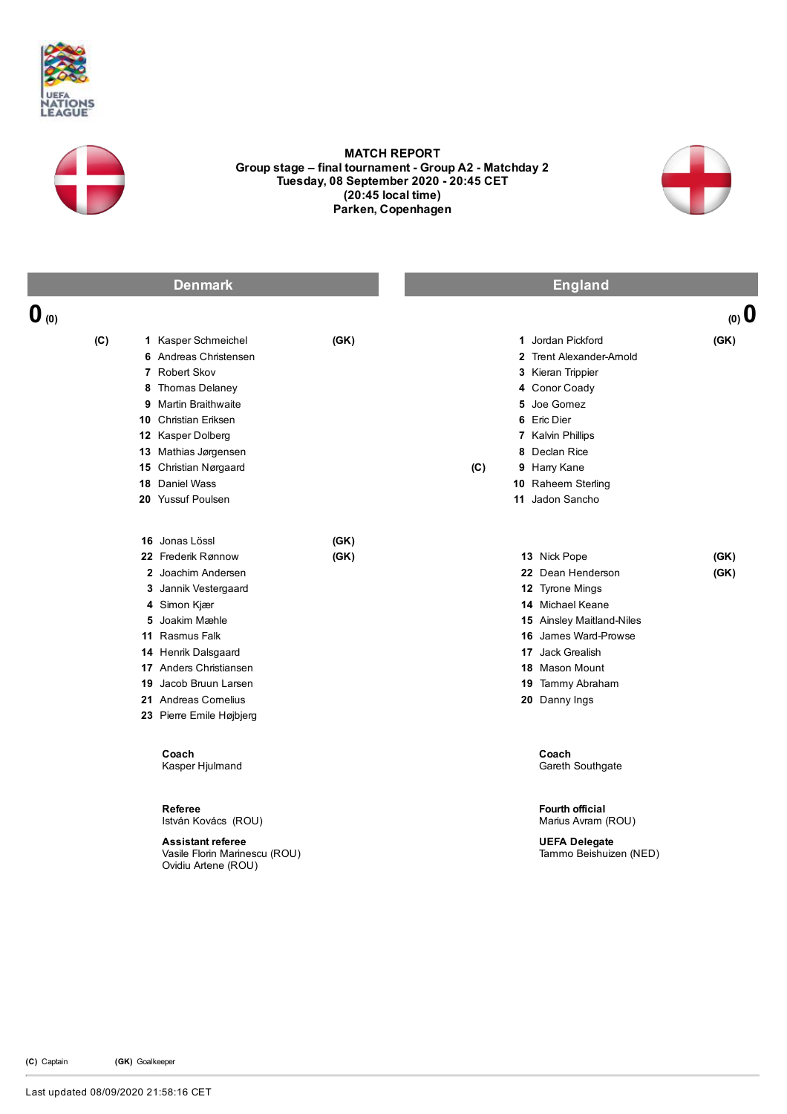



## MATCH REPORT Group stage – final tournament - Group A2 - Matchday 2 Tuesday, 08 September 2020 - 20:45 CET (20:45 local time) Parken, Copenhagen



| <b>Denmark</b>   |                                                                                                                                                                                                                                                                      |              | <b>England</b> |                                                                                                                                                                                                                 |              |  |
|------------------|----------------------------------------------------------------------------------------------------------------------------------------------------------------------------------------------------------------------------------------------------------------------|--------------|----------------|-----------------------------------------------------------------------------------------------------------------------------------------------------------------------------------------------------------------|--------------|--|
| $\mathbf{0}$ (0) |                                                                                                                                                                                                                                                                      |              |                |                                                                                                                                                                                                                 | $(0)$ 0      |  |
| (C)              | 1 Kasper Schmeichel<br>6 Andreas Christensen<br>7 Robert Skov<br>8 Thomas Delaney<br>9 Martin Braithwaite<br>10 Christian Eriksen<br>12 Kasper Dolberg<br>13 Mathias Jørgensen<br>15 Christian Nørgaard<br><b>18</b> Daniel Wass<br>20 Yussuf Poulsen                | (GK)         | (C)            | 1 Jordan Pickford<br>2 Trent Alexander-Amold<br>3 Kieran Trippier<br>4 Conor Coady<br>5 Joe Gomez<br>6 Eric Dier<br>7 Kalvin Phillips<br>8 Declan Rice<br>9 Harry Kane<br>10 Raheem Sterling<br>11 Jadon Sancho | (GK)         |  |
|                  | 16 Jonas Lössl<br>22 Frederik Rønnow<br>2 Joachim Andersen<br>3 Jannik Vestergaard<br>4 Simon Kjær<br>5 Joakim Mæhle<br>11 Rasmus Falk<br>14 Henrik Dalsgaard<br>17 Anders Christiansen<br>19 Jacob Bruun Larsen<br>21 Andreas Cornelius<br>23 Pierre Emile Højbjerg | (GK)<br>(GK) |                | 13 Nick Pope<br>22 Dean Henderson<br>12 Tyrone Mings<br>14 Michael Keane<br><b>15</b> Ainsley Maitland-Niles<br>16 James Ward-Prowse<br>17 Jack Grealish<br>18 Mason Mount<br>19 Tammy Abraham<br>20 Danny Ings | (GK)<br>(GK) |  |
|                  | Coach<br>Kasper Hjulmand<br>Referee<br>István Kovács (ROU)<br><b>Assistant referee</b><br>Vasile Florin Marinescu (ROU)                                                                                                                                              |              |                | Coach<br>Gareth Southgate<br>Fourth official<br>Marius Avram (ROU)<br><b>UEFA Delegate</b><br>Tammo Beishuizen (NED)                                                                                            |              |  |

(C) Captain (GK) Goalkeeper